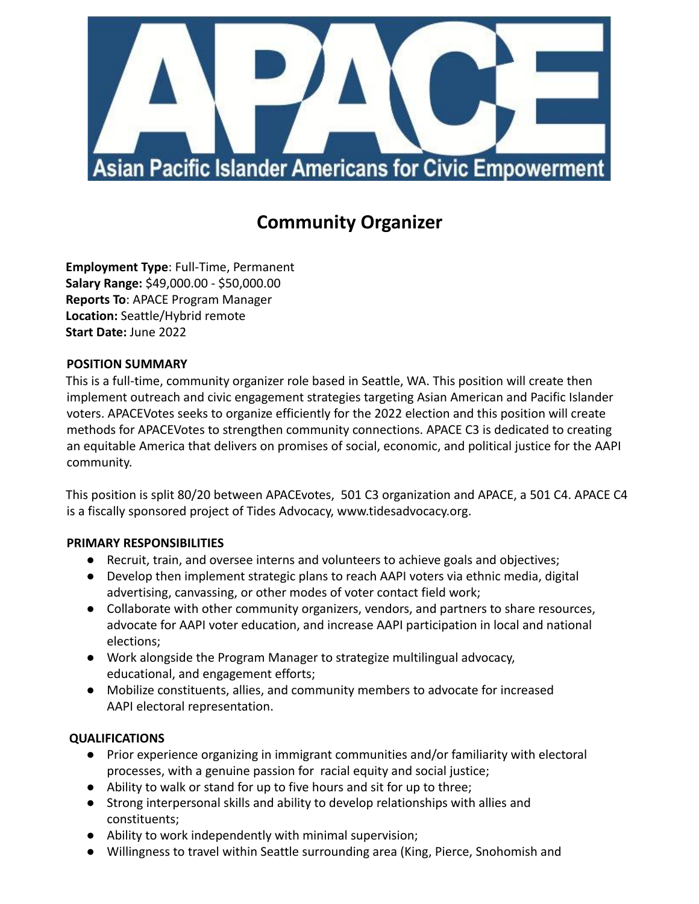

# **Community Organizer**

**Employment Type**: Full-Time, Permanent **Salary Range:** \$49,000.00 - \$50,000.00 **Reports To**: APACE Program Manager **Location:** Seattle/Hybrid remote **Start Date:** June 2022

## **POSITION SUMMARY**

This is a full-time, community organizer role based in Seattle, WA. This position will create then implement outreach and civic engagement strategies targeting Asian American and Pacific Islander voters. APACEVotes seeks to organize efficiently for the 2022 election and this position will create methods for APACEVotes to strengthen community connections. APACE C3 is dedicated to creating an equitable America that delivers on promises of social, economic, and political justice for the AAPI community.

This position is split 80/20 between APACEvotes, 501 C3 organization and APACE, a 501 C4. APACE C4 is a fiscally sponsored project of Tides Advocacy, www.tidesadvocacy.org.

## **PRIMARY RESPONSIBILITIES**

- Recruit, train, and oversee interns and volunteers to achieve goals and objectives;
- Develop then implement strategic plans to reach AAPI voters via ethnic media, digital advertising, canvassing, or other modes of voter contact field work;
- Collaborate with other community organizers, vendors, and partners to share resources, advocate for AAPI voter education, and increase AAPI participation in local and national elections;
- Work alongside the Program Manager to strategize multilingual advocacy, educational, and engagement efforts;
- Mobilize constituents, allies, and community members to advocate for increased AAPI electoral representation.

## **QUALIFICATIONS**

- Prior experience organizing in immigrant communities and/or familiarity with electoral processes, with a genuine passion for racial equity and social justice;
- Ability to walk or stand for up to five hours and sit for up to three;
- Strong interpersonal skills and ability to develop relationships with allies and constituents;
- Ability to work independently with minimal supervision;
- Willingness to travel within Seattle surrounding area (King, Pierce, Snohomish and